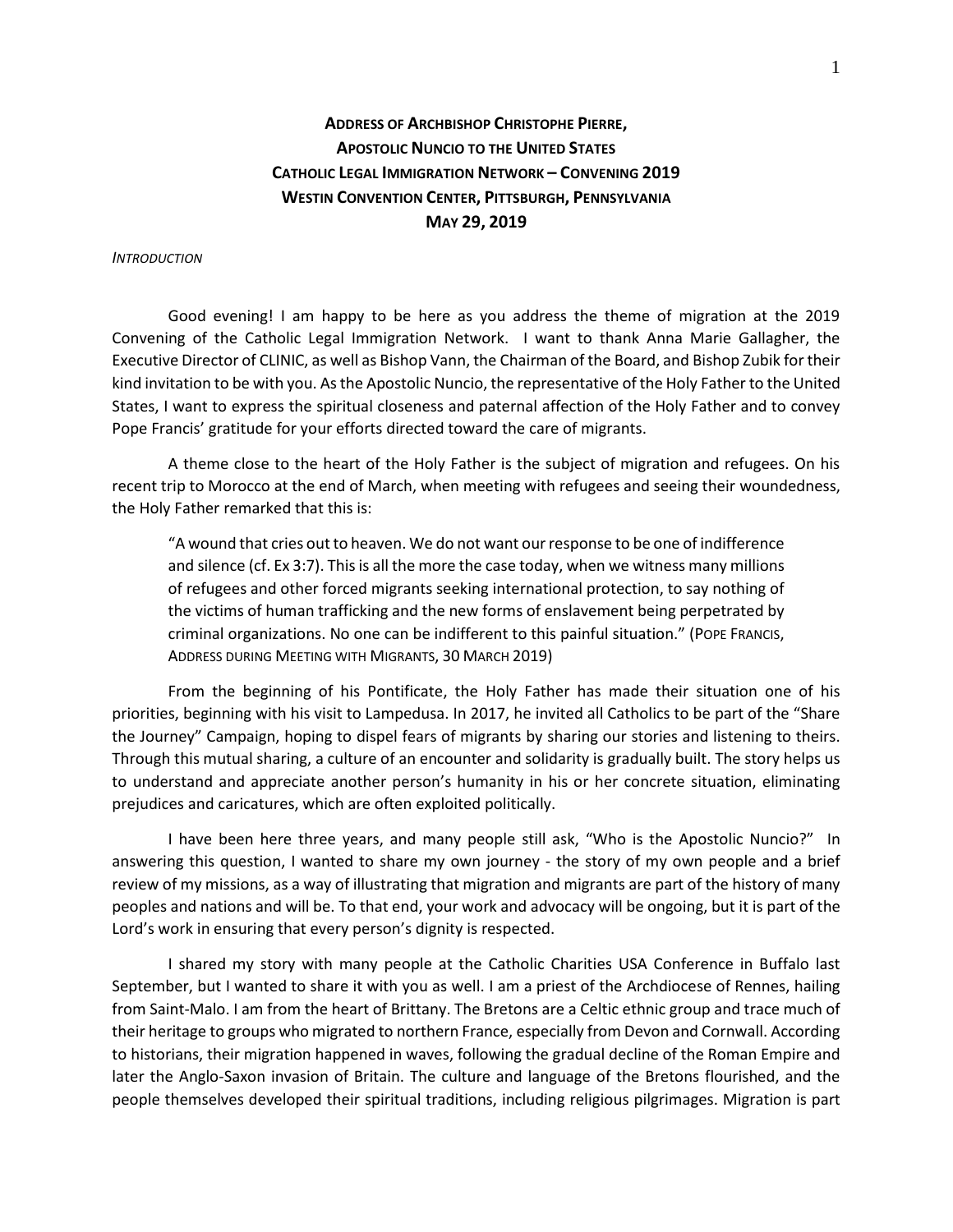# **ADDRESS OF ARCHBISHOP CHRISTOPHE PIERRE, APOSTOLIC NUNCIO TO THE UNITED STATES CATHOLIC LEGAL IMMIGRATION NETWORK – CONVENING 2019 WESTIN CONVENTION CENTER, PITTSBURGH, PENNSYLVANIA MAY 29, 2019**

### *INTRODUCTION*

Good evening! I am happy to be here as you address the theme of migration at the 2019 Convening of the Catholic Legal Immigration Network. I want to thank Anna Marie Gallagher, the Executive Director of CLINIC, as well as Bishop Vann, the Chairman of the Board, and Bishop Zubik for their kind invitation to be with you. As the Apostolic Nuncio, the representative of the Holy Father to the United States, I want to express the spiritual closeness and paternal affection of the Holy Father and to convey Pope Francis' gratitude for your efforts directed toward the care of migrants.

A theme close to the heart of the Holy Father is the subject of migration and refugees. On his recent trip to Morocco at the end of March, when meeting with refugees and seeing their woundedness, the Holy Father remarked that this is:

"A wound that cries out to heaven. We do not want our response to be one of indifference and silence (cf. Ex 3:7). This is all the more the case today, when we witness many millions of refugees and other forced migrants seeking international protection, to say nothing of the victims of human trafficking and the new forms of enslavement being perpetrated by criminal organizations. No one can be indifferent to this painful situation." (POPE FRANCIS, ADDRESS DURING MEETING WITH MIGRANTS, 30 MARCH 2019)

From the beginning of his Pontificate, the Holy Father has made their situation one of his priorities, beginning with his visit to Lampedusa. In 2017, he invited all Catholics to be part of the "Share the Journey" Campaign, hoping to dispel fears of migrants by sharing our stories and listening to theirs. Through this mutual sharing, a culture of an encounter and solidarity is gradually built. The story helps us to understand and appreciate another person's humanity in his or her concrete situation, eliminating prejudices and caricatures, which are often exploited politically.

I have been here three years, and many people still ask, "Who is the Apostolic Nuncio?" In answering this question, I wanted to share my own journey - the story of my own people and a brief review of my missions, as a way of illustrating that migration and migrants are part of the history of many peoples and nations and will be. To that end, your work and advocacy will be ongoing, but it is part of the Lord's work in ensuring that every person's dignity is respected.

I shared my story with many people at the Catholic Charities USA Conference in Buffalo last September, but I wanted to share it with you as well. I am a priest of the Archdiocese of Rennes, hailing from Saint-Malo. I am from the heart of Brittany. The Bretons are a Celtic ethnic group and trace much of their heritage to groups who migrated to northern France, especially from Devon and Cornwall. According to historians, their migration happened in waves, following the gradual decline of the Roman Empire and later the Anglo-Saxon invasion of Britain. The culture and language of the Bretons flourished, and the people themselves developed their spiritual traditions, including religious pilgrimages. Migration is part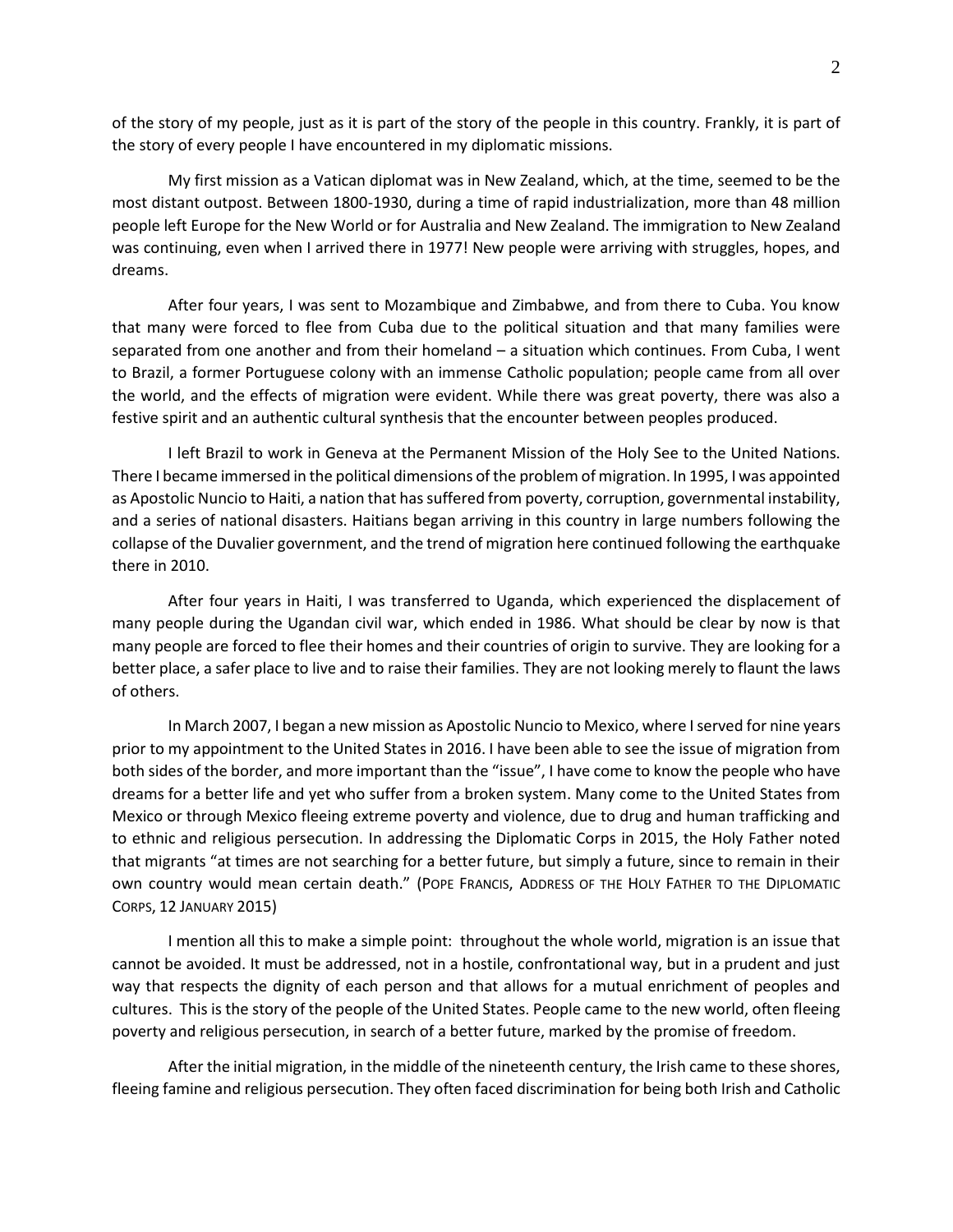of the story of my people, just as it is part of the story of the people in this country. Frankly, it is part of the story of every people I have encountered in my diplomatic missions.

My first mission as a Vatican diplomat was in New Zealand, which, at the time, seemed to be the most distant outpost. Between 1800-1930, during a time of rapid industrialization, more than 48 million people left Europe for the New World or for Australia and New Zealand. The immigration to New Zealand was continuing, even when I arrived there in 1977! New people were arriving with struggles, hopes, and dreams.

After four years, I was sent to Mozambique and Zimbabwe, and from there to Cuba. You know that many were forced to flee from Cuba due to the political situation and that many families were separated from one another and from their homeland – a situation which continues. From Cuba, I went to Brazil, a former Portuguese colony with an immense Catholic population; people came from all over the world, and the effects of migration were evident. While there was great poverty, there was also a festive spirit and an authentic cultural synthesis that the encounter between peoples produced.

I left Brazil to work in Geneva at the Permanent Mission of the Holy See to the United Nations. There I became immersed in the political dimensions of the problem of migration. In 1995, I was appointed as Apostolic Nuncio to Haiti, a nation that has suffered from poverty, corruption, governmental instability, and a series of national disasters. Haitians began arriving in this country in large numbers following the collapse of the Duvalier government, and the trend of migration here continued following the earthquake there in 2010.

After four years in Haiti, I was transferred to Uganda, which experienced the displacement of many people during the Ugandan civil war, which ended in 1986. What should be clear by now is that many people are forced to flee their homes and their countries of origin to survive. They are looking for a better place, a safer place to live and to raise their families. They are not looking merely to flaunt the laws of others.

In March 2007, I began a new mission as Apostolic Nuncio to Mexico, where I served for nine years prior to my appointment to the United States in 2016. I have been able to see the issue of migration from both sides of the border, and more important than the "issue", I have come to know the people who have dreams for a better life and yet who suffer from a broken system. Many come to the United States from Mexico or through Mexico fleeing extreme poverty and violence, due to drug and human trafficking and to ethnic and religious persecution. In addressing the Diplomatic Corps in 2015, the Holy Father noted that migrants "at times are not searching for a better future, but simply a future, since to remain in their own country would mean certain death." (POPE FRANCIS, ADDRESS OF THE HOLY FATHER TO THE DIPLOMATIC CORPS, 12 JANUARY 2015)

I mention all this to make a simple point: throughout the whole world, migration is an issue that cannot be avoided. It must be addressed, not in a hostile, confrontational way, but in a prudent and just way that respects the dignity of each person and that allows for a mutual enrichment of peoples and cultures. This is the story of the people of the United States. People came to the new world, often fleeing poverty and religious persecution, in search of a better future, marked by the promise of freedom.

After the initial migration, in the middle of the nineteenth century, the Irish came to these shores, fleeing famine and religious persecution. They often faced discrimination for being both Irish and Catholic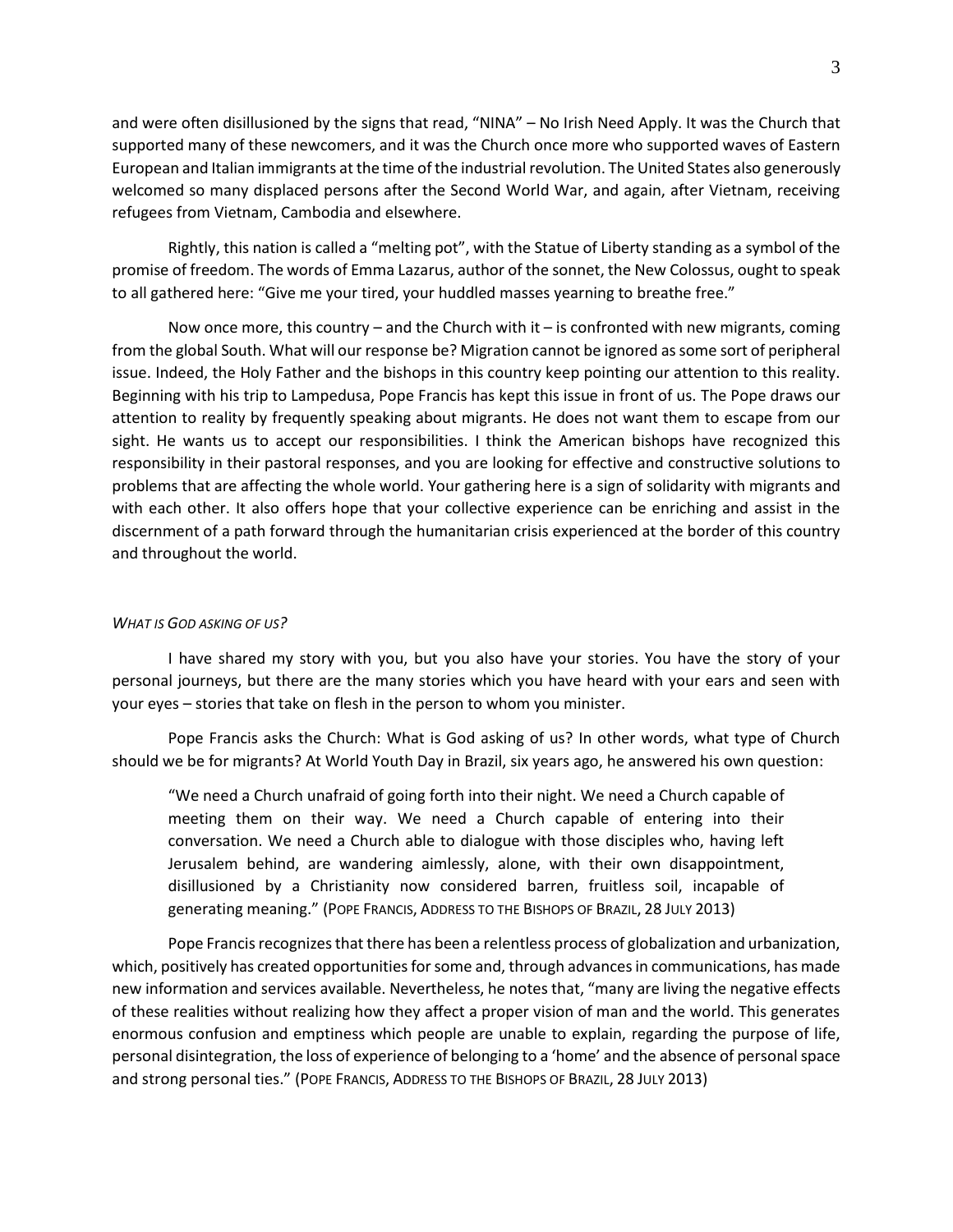and were often disillusioned by the signs that read, "NINA" – No Irish Need Apply. It was the Church that supported many of these newcomers, and it was the Church once more who supported waves of Eastern European and Italian immigrants at the time of the industrial revolution. The United States also generously welcomed so many displaced persons after the Second World War, and again, after Vietnam, receiving refugees from Vietnam, Cambodia and elsewhere.

Rightly, this nation is called a "melting pot", with the Statue of Liberty standing as a symbol of the promise of freedom. The words of Emma Lazarus, author of the sonnet, the New Colossus, ought to speak to all gathered here: "Give me your tired, your huddled masses yearning to breathe free."

Now once more, this country – and the Church with it – is confronted with new migrants, coming from the global South. What will our response be? Migration cannot be ignored as some sort of peripheral issue. Indeed, the Holy Father and the bishops in this country keep pointing our attention to this reality. Beginning with his trip to Lampedusa, Pope Francis has kept this issue in front of us. The Pope draws our attention to reality by frequently speaking about migrants. He does not want them to escape from our sight. He wants us to accept our responsibilities. I think the American bishops have recognized this responsibility in their pastoral responses, and you are looking for effective and constructive solutions to problems that are affecting the whole world. Your gathering here is a sign of solidarity with migrants and with each other. It also offers hope that your collective experience can be enriching and assist in the discernment of a path forward through the humanitarian crisis experienced at the border of this country and throughout the world.

## *WHAT IS GOD ASKING OF US?*

I have shared my story with you, but you also have your stories. You have the story of your personal journeys, but there are the many stories which you have heard with your ears and seen with your eyes – stories that take on flesh in the person to whom you minister.

Pope Francis asks the Church: What is God asking of us? In other words, what type of Church should we be for migrants? At World Youth Day in Brazil, six years ago, he answered his own question:

"We need a Church unafraid of going forth into their night. We need a Church capable of meeting them on their way. We need a Church capable of entering into their conversation. We need a Church able to dialogue with those disciples who, having left Jerusalem behind, are wandering aimlessly, alone, with their own disappointment, disillusioned by a Christianity now considered barren, fruitless soil, incapable of generating meaning." (POPE FRANCIS, ADDRESS TO THE BISHOPS OF BRAZIL, 28 JULY 2013)

Pope Francis recognizes that there has been a relentless process of globalization and urbanization, which, positively has created opportunities for some and, through advances in communications, has made new information and services available. Nevertheless, he notes that, "many are living the negative effects of these realities without realizing how they affect a proper vision of man and the world. This generates enormous confusion and emptiness which people are unable to explain, regarding the purpose of life, personal disintegration, the loss of experience of belonging to a 'home' and the absence of personal space and strong personal ties." (POPE FRANCIS, ADDRESS TO THE BISHOPS OF BRAZIL, 28 JULY 2013)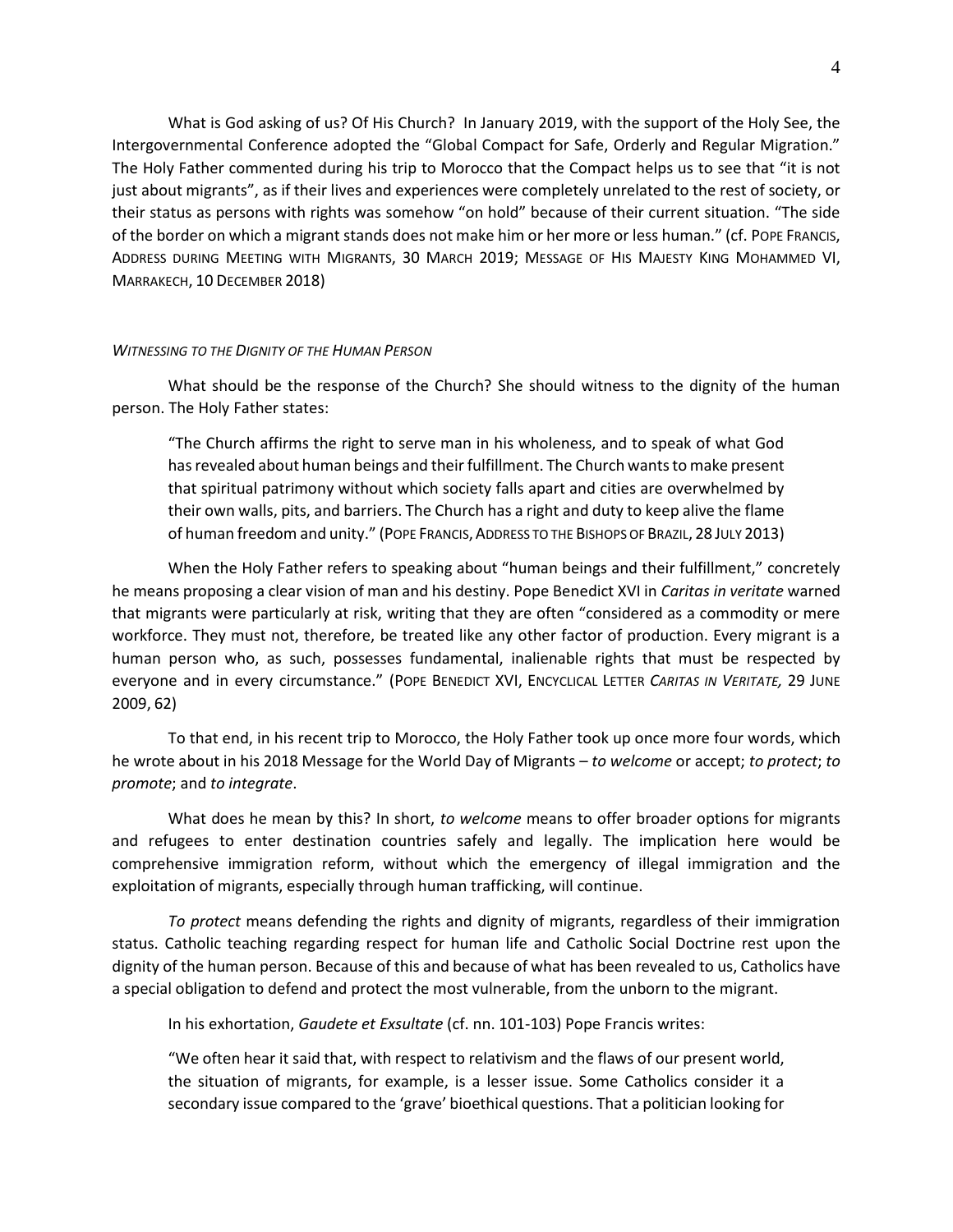What is God asking of us? Of His Church? In January 2019, with the support of the Holy See, the Intergovernmental Conference adopted the "Global Compact for Safe, Orderly and Regular Migration." The Holy Father commented during his trip to Morocco that the Compact helps us to see that "it is not just about migrants", as if their lives and experiences were completely unrelated to the rest of society, or their status as persons with rights was somehow "on hold" because of their current situation. "The side of the border on which a migrant stands does not make him or her more or less human." (cf. POPE FRANCIS, ADDRESS DURING MEETING WITH MIGRANTS, 30 MARCH 2019; MESSAGE OF HIS MAJESTY KING MOHAMMED VI, MARRAKECH, 10 DECEMBER 2018)

# *WITNESSING TO THE DIGNITY OF THE HUMAN PERSON*

What should be the response of the Church? She should witness to the dignity of the human person. The Holy Father states:

"The Church affirms the right to serve man in his wholeness, and to speak of what God has revealed about human beings and their fulfillment. The Church wants to make present that spiritual patrimony without which society falls apart and cities are overwhelmed by their own walls, pits, and barriers. The Church has a right and duty to keep alive the flame of human freedom and unity." (POPE FRANCIS,ADDRESS TO THE BISHOPS OF BRAZIL, 28 JULY 2013)

When the Holy Father refers to speaking about "human beings and their fulfillment," concretely he means proposing a clear vision of man and his destiny. Pope Benedict XVI in *Caritas in veritate* warned that migrants were particularly at risk, writing that they are often "considered as a commodity or mere workforce. They must not, therefore, be treated like any other factor of production. Every migrant is a human person who, as such, possesses fundamental, inalienable rights that must be respected by everyone and in every circumstance." (POPE BENEDICT XVI, ENCYCLICAL LETTER *CARITAS IN VERITATE,* 29 JUNE 2009, 62)

To that end, in his recent trip to Morocco, the Holy Father took up once more four words, which he wrote about in his 2018 Message for the World Day of Migrants – *to welcome* or accept; *to protect*; *to promote*; and *to integrate*.

What does he mean by this? In short, *to welcome* means to offer broader options for migrants and refugees to enter destination countries safely and legally. The implication here would be comprehensive immigration reform, without which the emergency of illegal immigration and the exploitation of migrants, especially through human trafficking, will continue.

*To protect* means defending the rights and dignity of migrants, regardless of their immigration status. Catholic teaching regarding respect for human life and Catholic Social Doctrine rest upon the dignity of the human person. Because of this and because of what has been revealed to us, Catholics have a special obligation to defend and protect the most vulnerable, from the unborn to the migrant.

In his exhortation, *Gaudete et Exsultate* (cf. nn. 101-103) Pope Francis writes:

"We often hear it said that, with respect to relativism and the flaws of our present world, the situation of migrants, for example, is a lesser issue. Some Catholics consider it a secondary issue compared to the 'grave' bioethical questions. That a politician looking for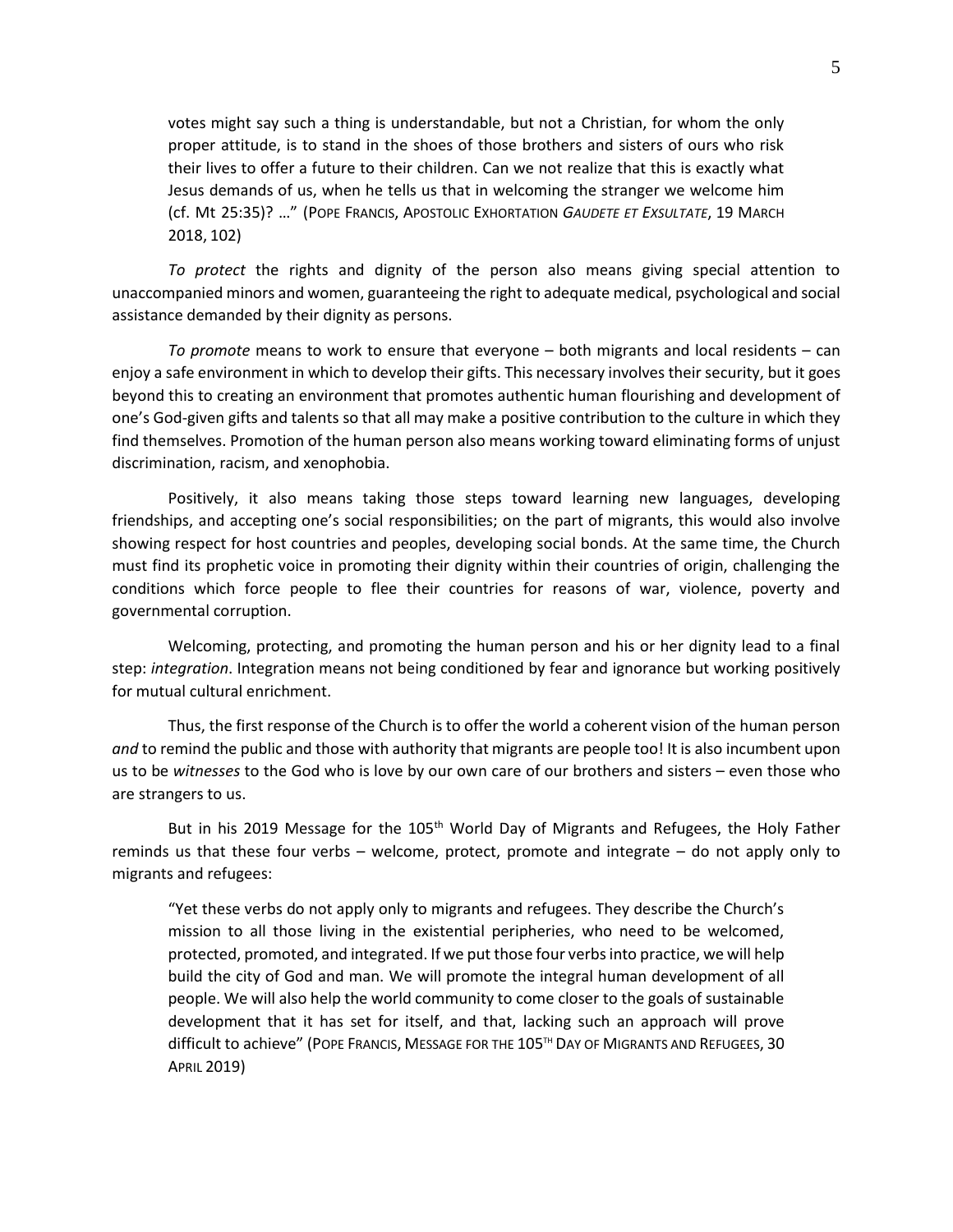votes might say such a thing is understandable, but not a Christian, for whom the only proper attitude, is to stand in the shoes of those brothers and sisters of ours who risk their lives to offer a future to their children. Can we not realize that this is exactly what Jesus demands of us, when he tells us that in welcoming the stranger we welcome him (cf. Mt 25:35)? …" (POPE FRANCIS, APOSTOLIC EXHORTATION *GAUDETE ET EXSULTATE*, 19 MARCH 2018, 102)

*To protect* the rights and dignity of the person also means giving special attention to unaccompanied minors and women, guaranteeing the right to adequate medical, psychological and social assistance demanded by their dignity as persons.

*To promote* means to work to ensure that everyone – both migrants and local residents – can enjoy a safe environment in which to develop their gifts. This necessary involves their security, but it goes beyond this to creating an environment that promotes authentic human flourishing and development of one's God-given gifts and talents so that all may make a positive contribution to the culture in which they find themselves. Promotion of the human person also means working toward eliminating forms of unjust discrimination, racism, and xenophobia.

Positively, it also means taking those steps toward learning new languages, developing friendships, and accepting one's social responsibilities; on the part of migrants, this would also involve showing respect for host countries and peoples, developing social bonds. At the same time, the Church must find its prophetic voice in promoting their dignity within their countries of origin, challenging the conditions which force people to flee their countries for reasons of war, violence, poverty and governmental corruption.

Welcoming, protecting, and promoting the human person and his or her dignity lead to a final step: *integration*. Integration means not being conditioned by fear and ignorance but working positively for mutual cultural enrichment.

Thus, the first response of the Church is to offer the world a coherent vision of the human person *and* to remind the public and those with authority that migrants are people too! It is also incumbent upon us to be *witnesses* to the God who is love by our own care of our brothers and sisters – even those who are strangers to us.

But in his 2019 Message for the  $105<sup>th</sup>$  World Day of Migrants and Refugees, the Holy Father reminds us that these four verbs – welcome, protect, promote and integrate – do not apply only to migrants and refugees:

"Yet these verbs do not apply only to migrants and refugees. They describe the Church's mission to all those living in the existential peripheries, who need to be welcomed, protected, promoted, and integrated. If we put those four verbs into practice, we will help build the city of God and man. We will promote the integral human development of all people. We will also help the world community to come closer to the goals of sustainable development that it has set for itself, and that, lacking such an approach will prove difficult to achieve" (POPE FRANCIS, MESSAGE FOR THE 105<sup>TH</sup> DAY OF MIGRANTS AND REFUGEES, 30 APRIL 2019)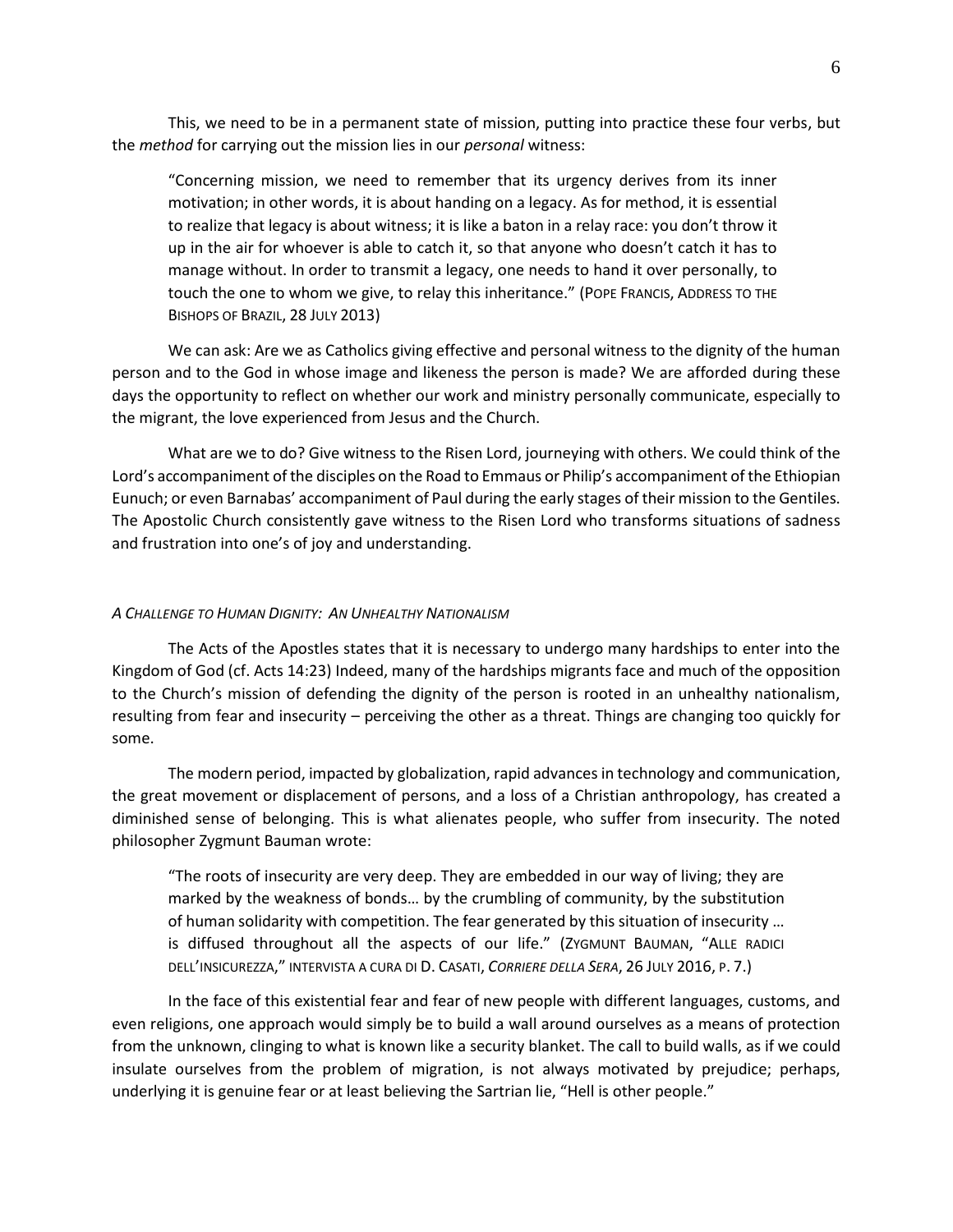This, we need to be in a permanent state of mission, putting into practice these four verbs, but the *method* for carrying out the mission lies in our *personal* witness:

"Concerning mission, we need to remember that its urgency derives from its inner motivation; in other words, it is about handing on a legacy. As for method, it is essential to realize that legacy is about witness; it is like a baton in a relay race: you don't throw it up in the air for whoever is able to catch it, so that anyone who doesn't catch it has to manage without. In order to transmit a legacy, one needs to hand it over personally, to touch the one to whom we give, to relay this inheritance." (POPE FRANCIS, ADDRESS TO THE BISHOPS OF BRAZIL, 28 JULY 2013)

We can ask: Are we as Catholics giving effective and personal witness to the dignity of the human person and to the God in whose image and likeness the person is made? We are afforded during these days the opportunity to reflect on whether our work and ministry personally communicate, especially to the migrant, the love experienced from Jesus and the Church.

What are we to do? Give witness to the Risen Lord, journeying with others. We could think of the Lord's accompaniment of the disciples on the Road to Emmaus or Philip's accompaniment of the Ethiopian Eunuch; or even Barnabas' accompaniment of Paul during the early stages of their mission to the Gentiles. The Apostolic Church consistently gave witness to the Risen Lord who transforms situations of sadness and frustration into one's of joy and understanding.

### *A CHALLENGE TO HUMAN DIGNITY: AN UNHEALTHY NATIONALISM*

The Acts of the Apostles states that it is necessary to undergo many hardships to enter into the Kingdom of God (cf. Acts 14:23) Indeed, many of the hardships migrants face and much of the opposition to the Church's mission of defending the dignity of the person is rooted in an unhealthy nationalism, resulting from fear and insecurity – perceiving the other as a threat. Things are changing too quickly for some.

The modern period, impacted by globalization, rapid advances in technology and communication, the great movement or displacement of persons, and a loss of a Christian anthropology, has created a diminished sense of belonging. This is what alienates people, who suffer from insecurity. The noted philosopher Zygmunt Bauman wrote:

"The roots of insecurity are very deep. They are embedded in our way of living; they are marked by the weakness of bonds… by the crumbling of community, by the substitution of human solidarity with competition. The fear generated by this situation of insecurity … is diffused throughout all the aspects of our life." (ZYGMUNT BAUMAN, "ALLE RADICI DELL'INSICUREZZA," INTERVISTA A CURA DI D. CASATI, *CORRIERE DELLA SERA*, 26 JULY 2016, P. 7.)

In the face of this existential fear and fear of new people with different languages, customs, and even religions, one approach would simply be to build a wall around ourselves as a means of protection from the unknown, clinging to what is known like a security blanket. The call to build walls, as if we could insulate ourselves from the problem of migration, is not always motivated by prejudice; perhaps, underlying it is genuine fear or at least believing the Sartrian lie, "Hell is other people."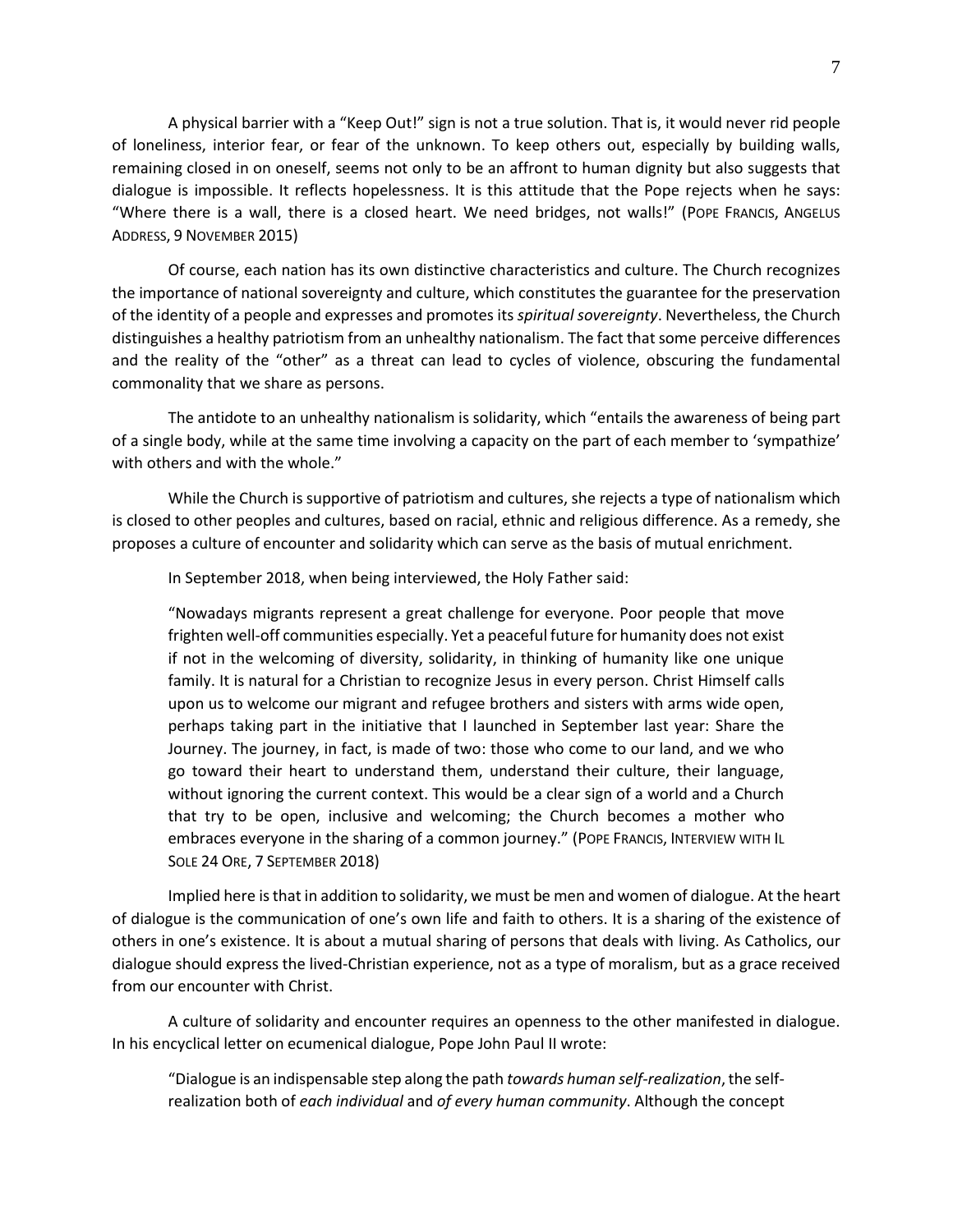A physical barrier with a "Keep Out!" sign is not a true solution. That is, it would never rid people of loneliness, interior fear, or fear of the unknown. To keep others out, especially by building walls, remaining closed in on oneself, seems not only to be an affront to human dignity but also suggests that dialogue is impossible. It reflects hopelessness. It is this attitude that the Pope rejects when he says: "Where there is a wall, there is a closed heart. We need bridges, not walls!" (POPE FRANCIS, ANGELUS ADDRESS, 9 NOVEMBER 2015)

Of course, each nation has its own distinctive characteristics and culture. The Church recognizes the importance of national sovereignty and culture, which constitutes the guarantee for the preservation of the identity of a people and expresses and promotes its *spiritual sovereignty*. Nevertheless, the Church distinguishes a healthy patriotism from an unhealthy nationalism. The fact that some perceive differences and the reality of the "other" as a threat can lead to cycles of violence, obscuring the fundamental commonality that we share as persons.

The antidote to an unhealthy nationalism is solidarity, which "entails the awareness of being part of a single body, while at the same time involving a capacity on the part of each member to 'sympathize' with others and with the whole."

While the Church is supportive of patriotism and cultures, she rejects a type of nationalism which is closed to other peoples and cultures, based on racial, ethnic and religious difference. As a remedy, she proposes a culture of encounter and solidarity which can serve as the basis of mutual enrichment.

In September 2018, when being interviewed, the Holy Father said:

"Nowadays migrants represent a great challenge for everyone. Poor people that move frighten well-off communities especially. Yet a peaceful future for humanity does not exist if not in the welcoming of diversity, solidarity, in thinking of humanity like one unique family. It is natural for a Christian to recognize Jesus in every person. Christ Himself calls upon us to welcome our migrant and refugee brothers and sisters with arms wide open, perhaps taking part in the initiative that I launched in September last year: Share the Journey. The journey, in fact, is made of two: those who come to our land, and we who go toward their heart to understand them, understand their culture, their language, without ignoring the current context. This would be a clear sign of a world and a Church that try to be open, inclusive and welcoming; the Church becomes a mother who embraces everyone in the sharing of a common journey." (POPE FRANCIS, INTERVIEW WITH IL SOLE 24 ORE, 7 SEPTEMBER 2018)

Implied here is that in addition to solidarity, we must be men and women of dialogue. At the heart of dialogue is the communication of one's own life and faith to others. It is a sharing of the existence of others in one's existence. It is about a mutual sharing of persons that deals with living. As Catholics, our dialogue should express the lived-Christian experience, not as a type of moralism, but as a grace received from our encounter with Christ.

A culture of solidarity and encounter requires an openness to the other manifested in dialogue. In his encyclical letter on ecumenical dialogue, Pope John Paul II wrote:

"Dialogue is an indispensable step along the path *towards human self-realization*, the selfrealization both of *each individual* and *of every human community*. Although the concept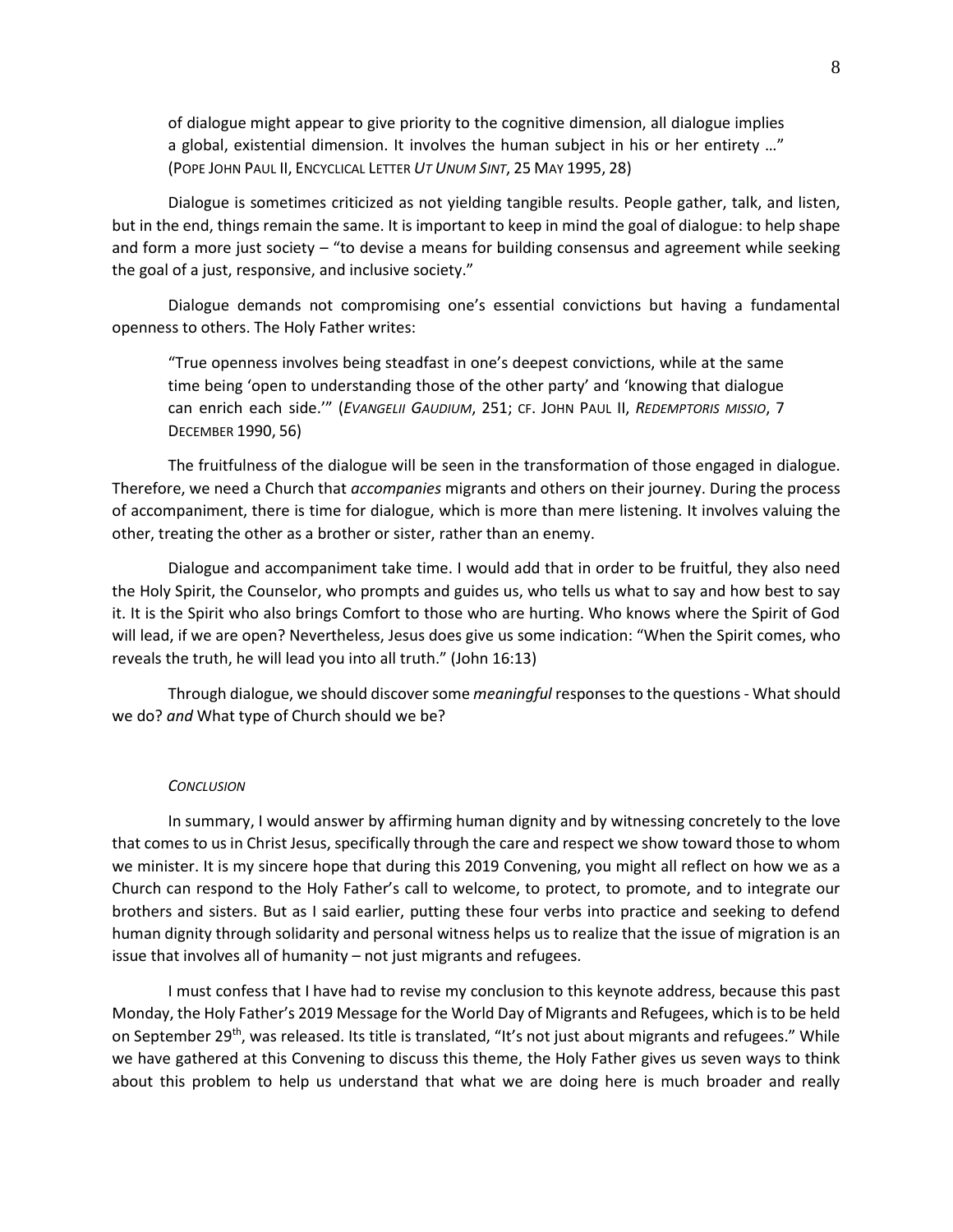of dialogue might appear to give priority to the cognitive dimension, all dialogue implies a global, existential dimension. It involves the human subject in his or her entirety …" (POPE JOHN PAUL II, ENCYCLICAL LETTER *UT UNUM SINT*, 25 MAY 1995, 28)

Dialogue is sometimes criticized as not yielding tangible results. People gather, talk, and listen, but in the end, things remain the same. It is important to keep in mind the goal of dialogue: to help shape and form a more just society – "to devise a means for building consensus and agreement while seeking the goal of a just, responsive, and inclusive society."

Dialogue demands not compromising one's essential convictions but having a fundamental openness to others. The Holy Father writes:

"True openness involves being steadfast in one's deepest convictions, while at the same time being 'open to understanding those of the other party' and 'knowing that dialogue can enrich each side.'" (*EVANGELII GAUDIUM*, 251; CF. JOHN PAUL II, *REDEMPTORIS MISSIO*, 7 DECEMBER 1990, 56)

The fruitfulness of the dialogue will be seen in the transformation of those engaged in dialogue. Therefore, we need a Church that *accompanies* migrants and others on their journey. During the process of accompaniment, there is time for dialogue, which is more than mere listening. It involves valuing the other, treating the other as a brother or sister, rather than an enemy.

Dialogue and accompaniment take time. I would add that in order to be fruitful, they also need the Holy Spirit, the Counselor, who prompts and guides us, who tells us what to say and how best to say it. It is the Spirit who also brings Comfort to those who are hurting. Who knows where the Spirit of God will lead, if we are open? Nevertheless, Jesus does give us some indication: "When the Spirit comes, who reveals the truth, he will lead you into all truth." (John 16:13)

Through dialogue, we should discover some *meaningful* responses to the questions - What should we do? *and* What type of Church should we be?

## *CONCLUSION*

In summary, I would answer by affirming human dignity and by witnessing concretely to the love that comes to us in Christ Jesus, specifically through the care and respect we show toward those to whom we minister. It is my sincere hope that during this 2019 Convening, you might all reflect on how we as a Church can respond to the Holy Father's call to welcome, to protect, to promote, and to integrate our brothers and sisters. But as I said earlier, putting these four verbs into practice and seeking to defend human dignity through solidarity and personal witness helps us to realize that the issue of migration is an issue that involves all of humanity – not just migrants and refugees.

I must confess that I have had to revise my conclusion to this keynote address, because this past Monday, the Holy Father's 2019 Message for the World Day of Migrants and Refugees, which is to be held on September 29<sup>th</sup>, was released. Its title is translated, "It's not just about migrants and refugees." While we have gathered at this Convening to discuss this theme, the Holy Father gives us seven ways to think about this problem to help us understand that what we are doing here is much broader and really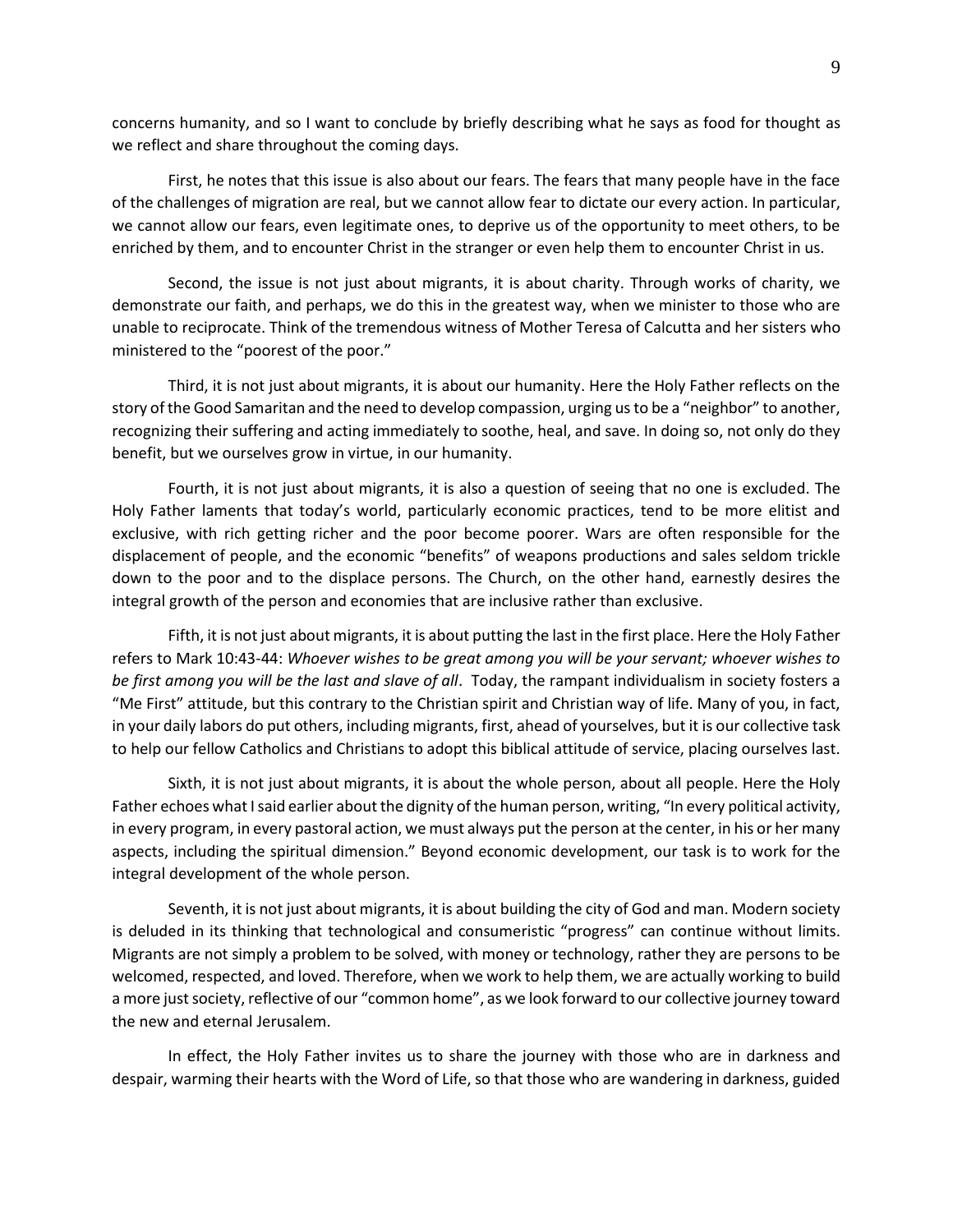concerns humanity, and so I want to conclude by briefly describing what he says as food for thought as we reflect and share throughout the coming days.

First, he notes that this issue is also about our fears. The fears that many people have in the face of the challenges of migration are real, but we cannot allow fear to dictate our every action. In particular, we cannot allow our fears, even legitimate ones, to deprive us of the opportunity to meet others, to be enriched by them, and to encounter Christ in the stranger or even help them to encounter Christ in us.

Second, the issue is not just about migrants, it is about charity. Through works of charity, we demonstrate our faith, and perhaps, we do this in the greatest way, when we minister to those who are unable to reciprocate. Think of the tremendous witness of Mother Teresa of Calcutta and her sisters who ministered to the "poorest of the poor."

Third, it is not just about migrants, it is about our humanity. Here the Holy Father reflects on the story of the Good Samaritan and the need to develop compassion, urging us to be a "neighbor" to another, recognizing their suffering and acting immediately to soothe, heal, and save. In doing so, not only do they benefit, but we ourselves grow in virtue, in our humanity.

Fourth, it is not just about migrants, it is also a question of seeing that no one is excluded. The Holy Father laments that today's world, particularly economic practices, tend to be more elitist and exclusive, with rich getting richer and the poor become poorer. Wars are often responsible for the displacement of people, and the economic "benefits" of weapons productions and sales seldom trickle down to the poor and to the displace persons. The Church, on the other hand, earnestly desires the integral growth of the person and economies that are inclusive rather than exclusive.

Fifth, it is not just about migrants, it is about putting the last in the first place. Here the Holy Father refers to Mark 10:43-44: *Whoever wishes to be great among you will be your servant; whoever wishes to be first among you will be the last and slave of all*. Today, the rampant individualism in society fosters a "Me First" attitude, but this contrary to the Christian spirit and Christian way of life. Many of you, in fact, in your daily labors do put others, including migrants, first, ahead of yourselves, but it is our collective task to help our fellow Catholics and Christians to adopt this biblical attitude of service, placing ourselves last.

Sixth, it is not just about migrants, it is about the whole person, about all people. Here the Holy Father echoes what I said earlier about the dignity of the human person, writing, "In every political activity, in every program, in every pastoral action, we must always put the person at the center, in his or her many aspects, including the spiritual dimension." Beyond economic development, our task is to work for the integral development of the whole person.

Seventh, it is not just about migrants, it is about building the city of God and man. Modern society is deluded in its thinking that technological and consumeristic "progress" can continue without limits. Migrants are not simply a problem to be solved, with money or technology, rather they are persons to be welcomed, respected, and loved. Therefore, when we work to help them, we are actually working to build a more just society, reflective of our "common home", as we look forward to our collective journey toward the new and eternal Jerusalem.

In effect, the Holy Father invites us to share the journey with those who are in darkness and despair, warming their hearts with the Word of Life, so that those who are wandering in darkness, guided